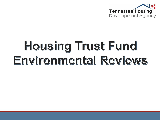

# Housing Trust Fund Environmental Reviews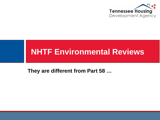

#### **NHTF Environmental Reviews**

**They are different from Part 58 …**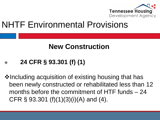

### NHTF Environmental Provisions

#### **New Construction**

#### **24 CFR § 93.301 (f) (1)**

**Verthela acquisition of existing housing that has** been newly constructed or rehabilitated less than 12 months before the commitment of HTF funds – 24 CFR § 93.301 (f)(1)(3)(i)(A) and (4).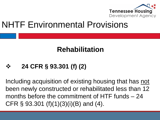

### NHTF Environmental Provisions

#### **Rehabilitation**

#### **24 CFR § 93.301 (f) (2)**

Including acquisition of existing housing that has not been newly constructed or rehabilitated less than 12 months before the commitment of HTF funds – 24 CFR § 93.301 (f)(1)(3)(i)(B) and (4).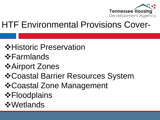

## HTF Environmental Provisions Cover-

#### **☆Historic Preservation**

- Farmlands
- **☆Airport Zones**

#### Coastal Barrier Resources System

- Coastal Zone Management
- **☆Floodplains**
- *<u>* Wetlands</u>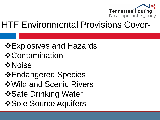

## HTF Environmental Provisions Cover-

### Explosives and Hazards

- *❖* Contamination
- **☆Noise**
- Endangered Species
- Wild and Scenic Rivers
- *❖***Safe Drinking Water**
- *❖* **Sole Source Aquifers**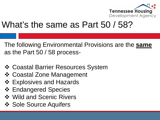

### What's the same as Part 50 / 58?

The following Environmental Provisions are the **same** as the Part 50 / 58 process-

- Coastal Barrier Resources System
- Coastal Zone Management
- ❖ Explosives and Hazards
- **❖ Endangered Species**
- **❖ Wild and Scenic Rivers**
- ❖ Sole Source Aquifers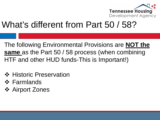

## What's different from Part 50 / 58?

The following Environmental Provisions are **NOT the same** as the Part 50 / 58 process (when combining HTF and other HUD funds-This is Important!)

- ❖ Historic Preservation
- ❖ Farmlands
- **❖ Airport Zones**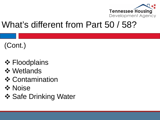

### What's different from Part 50 / 58?

#### (Cont.)

- **❖ Floodplains**
- **❖ Wetlands**
- **❖ Contamination**
- **☆ Noise**
- ❖ Safe Drinking Water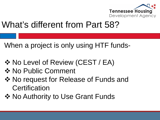

## What's different from Part 58?

When a project is only using HTF funds-

- $\lozenge$  **No Level of Review (CEST / EA)**
- **❖ No Public Comment**
- **☆ No request for Release of Funds and Certification**
- **☆ No Authority to Use Grant Funds**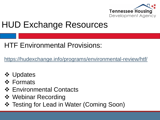

## HUD Exchange Resources

#### HTF Environmental Provisions:

<https://hudexchange.info/programs/environmental-review/htf/>

- **☆ Updates**
- **❖ Formats**
- **❖ Environmental Contacts**
- **❖ Webinar Recording**
- ❖ Testing for Lead in Water (Coming Soon)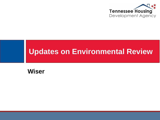

#### **Updates on Environmental Review**

#### **Wiser**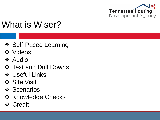

## What is Wiser?

- ❖ Self-Paced Learning
- **❖** Videos
- $\div$  Audio
- ❖ Text and Drill Downs
- Useful Links
- **☆ Site Visit**
- **❖ Scenarios**
- ❖ Knowledge Checks
- **☆ Credit**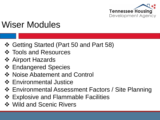

## Wiser Modules

- Getting Started (Part 50 and Part 58)
- ❖ Tools and Resources
- **❖ Airport Hazards**
- **❖ Endangered Species**
- ❖ Noise Abatement and Control
- $\div$  **Environmental Justice**
- Environmental Assessment Factors / Site Planning
- **❖ Explosive and Flammable Facilities**
- ❖ Wild and Scenic Rivers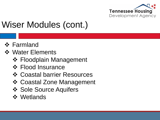

## Wiser Modules (cont.)

- **❖ Farmland**
- **❖ Water Elements** 
	- **❖ Floodplain Management**
	- ❖ Flood Insurance
	- **❖ Coastal barrier Resources**
	- Coastal Zone Management
	- ❖ Sole Source Aquifers
	- **☆ Wetlands**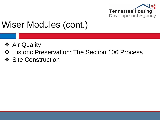

## Wiser Modules (cont.)

- **❖ Air Quality**
- ❖ Historic Preservation: The Section 106 Process
- ❖ Site Construction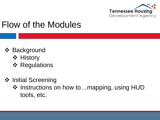

## Flow of the Modules

- **❖ Background** 
	- ❖ History
	- **❖ Regulations**
- ❖ Initial Screening
	- ❖ Instructions on how to...mapping, using HUD tools, etc.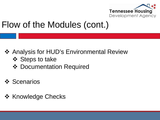

## Flow of the Modules (cont.)

- **❖ Analysis for HUD's Environmental Review** 
	- ❖ Steps to take
	- **❖ Documentation Required**
- **❖ Scenarios**
- ❖ Knowledge Checks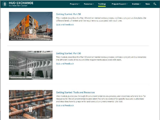

α



#### Getting Started: Part 58

This module describes the Part 58 environmental review process, defines a project, and explains the different levels of review and the requirements associated with each one.

Quiz and Feedback



#### Getting Started: Part 50

This module describes the Part 50 environmental review process; defines a project, and summarizes the different levels of review and the requirements associated with each.

**Ouiz and Feedback** 



#### **Getting Started: Tools and Resources**

This module guides you through the environmental review process, and describes where to look for resources for the environmental review; identifies who to contact for specific laws and authorities: and describes how to prepare for and conduct an Environmental Site Visit.

**Ouiz and Feedback**